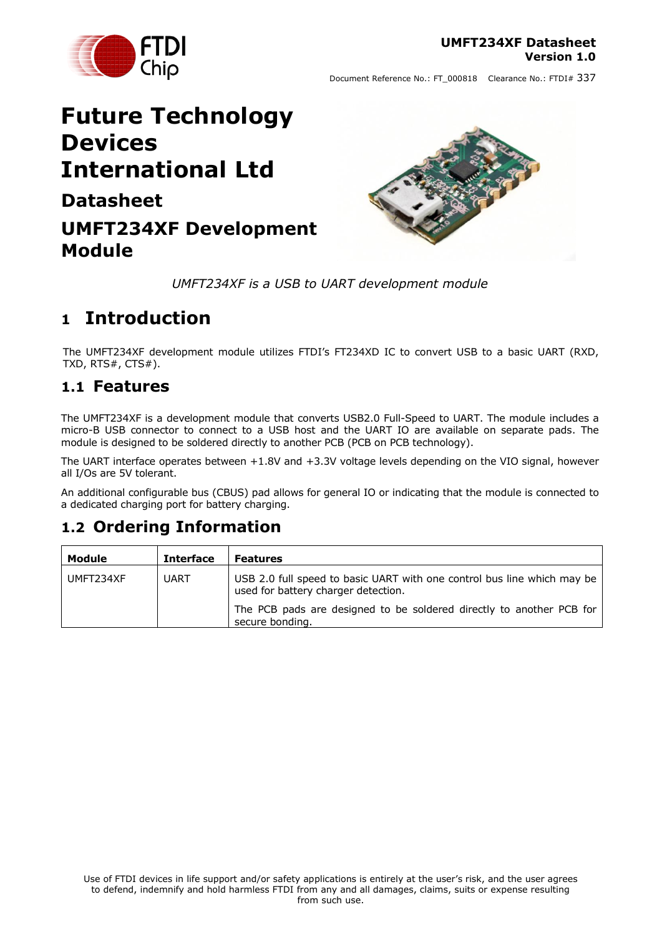

# **Future Technology Devices International Ltd Datasheet UMFT234XF Development**



*UMFT234XF is a USB to UART development module*

# <span id="page-0-0"></span>**1 Introduction**

The UMFT234XF development module utilizes FTDI's FT234XD IC to convert USB to a basic UART (RXD, TXD, RTS#, CTS#).

## <span id="page-0-1"></span>**1.1 Features**

**Module**

The UMFT234XF is a development module that converts USB2.0 Full-Speed to UART. The module includes a micro-B USB connector to connect to a USB host and the UART IO are available on separate pads. The module is designed to be soldered directly to another PCB (PCB on PCB technology).

The UART interface operates between +1.8V and +3.3V voltage levels depending on the VIO signal, however all I/Os are 5V tolerant.

An additional configurable bus (CBUS) pad allows for general IO or indicating that the module is connected to a dedicated charging port for battery charging.

## <span id="page-0-2"></span>**1.2 Ordering Information**

| Module    | <b>Interface</b> | <b>Features</b>                                                                                                |
|-----------|------------------|----------------------------------------------------------------------------------------------------------------|
| UMFT234XF | <b>UART</b>      | USB 2.0 full speed to basic UART with one control bus line which may be<br>used for battery charger detection. |
|           |                  | The PCB pads are designed to be soldered directly to another PCB for<br>secure bonding.                        |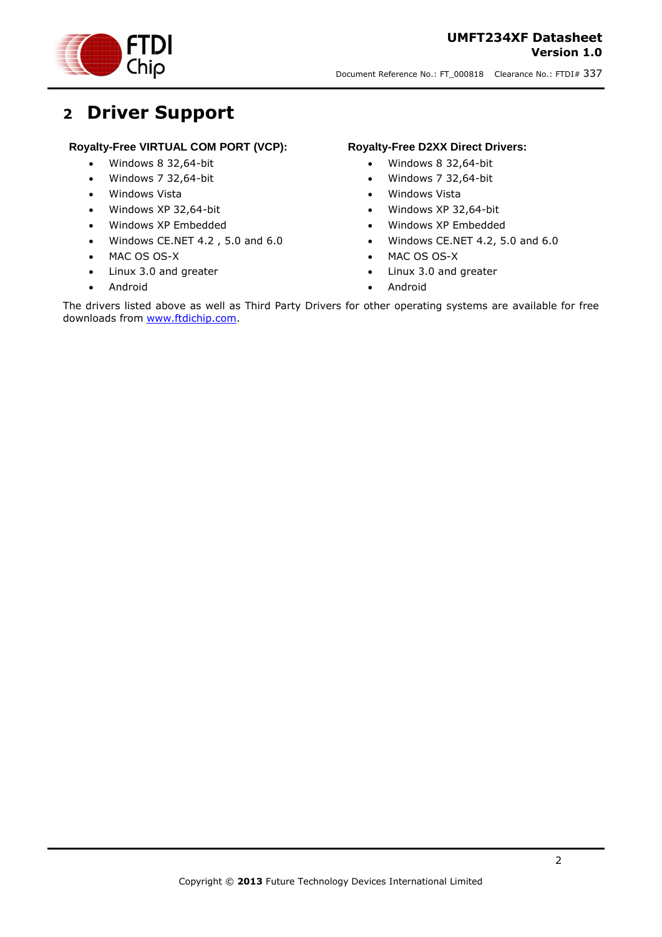Chip

Document Reference No.: FT\_000818 Clearance No.: FTDI# 337

# <span id="page-1-0"></span>**2 Driver Support**

### **Royalty-Free VIRTUAL COM PORT (VCP):**

- Windows 8 32,64-bit
- Windows 7 32,64-bit
- Windows Vista
- Windows XP 32,64-bit
- Windows XP Embedded
- Windows CE.NET 4.2 , 5.0 and 6.0
- MAC OS OS-X
- Linux 3.0 and greater
- Android

### **Royalty-Free D2XX Direct Drivers:**

- Windows 8 32,64-bit
- Windows 7 32,64-bit
- Windows Vista
- Windows XP 32,64-bit
- Windows XP Embedded
- Windows CE.NET 4.2, 5.0 and 6.0
- MAC OS OS-X
- Linux 3.0 and greater
- Android

The drivers listed above as well as Third Party Drivers for other operating systems are available for free downloads from [www.ftdichip.com.](http://www.ftdichip.com/)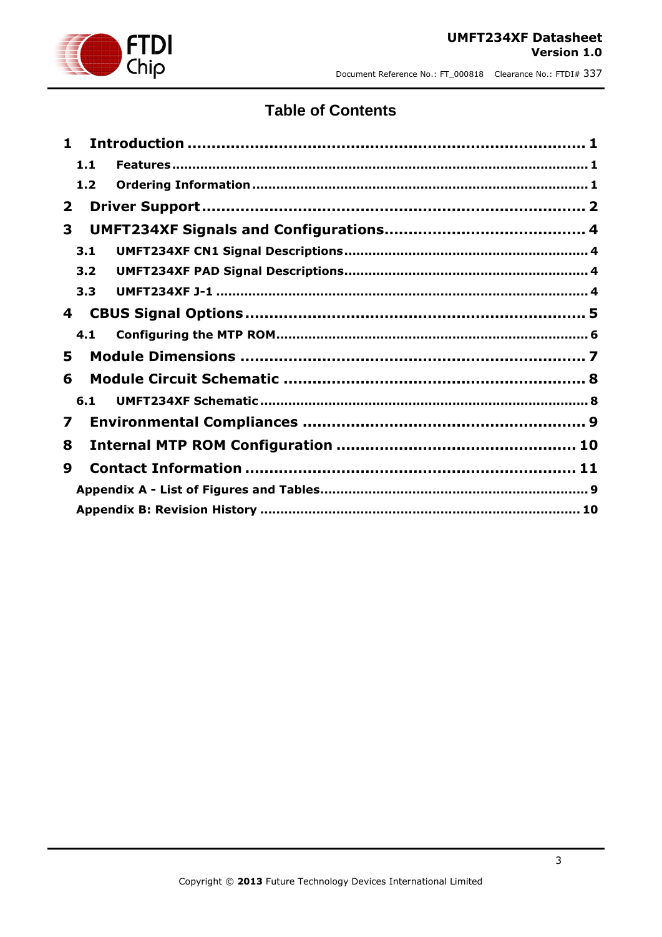

### **Table of Contents**

| $\blacksquare$ |     |  |
|----------------|-----|--|
|                | 1.1 |  |
|                | 1.2 |  |
| $\mathbf{2}$   |     |  |
| 3              |     |  |
|                | 3.1 |  |
|                | 3.2 |  |
|                | 3.3 |  |
| 4              |     |  |
|                | 4.1 |  |
| 5              |     |  |
| 6              |     |  |
|                | 6.1 |  |
| $\mathbf{z}$   |     |  |
| 8              |     |  |
| 9              |     |  |
|                |     |  |
|                |     |  |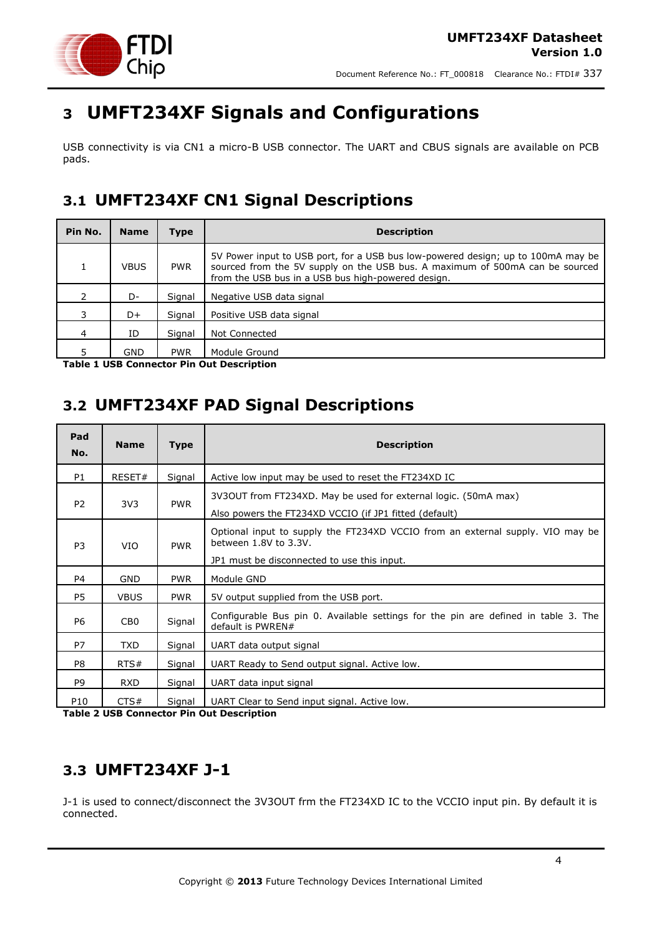

# <span id="page-3-0"></span>**3 UMFT234XF Signals and Configurations**

USB connectivity is via CN1 a micro-B USB connector. The UART and CBUS signals are available on PCB pads.

## <span id="page-3-1"></span>**3.1 UMFT234XF CN1 Signal Descriptions**

| Pin No.       | <b>Name</b> | Type       | <b>Description</b>                                                                                                                                                                                                     |  |
|---------------|-------------|------------|------------------------------------------------------------------------------------------------------------------------------------------------------------------------------------------------------------------------|--|
|               | <b>VBUS</b> | <b>PWR</b> | 5V Power input to USB port, for a USB bus low-powered design; up to 100mA may be<br>sourced from the 5V supply on the USB bus. A maximum of 500mA can be sourced<br>from the USB bus in a USB bus high-powered design. |  |
| $\mathcal{P}$ | D-          | Signal     | Negative USB data signal                                                                                                                                                                                               |  |
| 3             | D+          | Signal     | Positive USB data signal                                                                                                                                                                                               |  |
| 4             | ID          | Signal     | Not Connected                                                                                                                                                                                                          |  |
|               | GND         | <b>PWR</b> | Module Ground                                                                                                                                                                                                          |  |

<span id="page-3-4"></span>**Table 1 USB Connector Pin Out Description**

## <span id="page-3-2"></span>**3.2 UMFT234XF PAD Signal Descriptions**

| Pad<br>No.     | <b>Name</b>     | <b>Type</b> | <b>Description</b>                                                                                                                                     |  |
|----------------|-----------------|-------------|--------------------------------------------------------------------------------------------------------------------------------------------------------|--|
| P1             | RESET#          | Signal      | Active low input may be used to reset the FT234XD IC                                                                                                   |  |
| P <sub>2</sub> | 3V <sub>3</sub> | <b>PWR</b>  | 3V3OUT from FT234XD. May be used for external logic. (50mA max)<br>Also powers the FT234XD VCCIO (if JP1 fitted (default)                              |  |
| P <sub>3</sub> | <b>VIO</b>      | <b>PWR</b>  | Optional input to supply the FT234XD VCCIO from an external supply. VIO may be<br>between 1.8V to 3.3V.<br>JP1 must be disconnected to use this input. |  |
| P4             | <b>GND</b>      | <b>PWR</b>  | Module GND                                                                                                                                             |  |
| P5             | <b>VBUS</b>     | <b>PWR</b>  | 5V output supplied from the USB port.                                                                                                                  |  |
| P6             | CB <sub>0</sub> | Signal      | Configurable Bus pin 0. Available settings for the pin are defined in table 3. The<br>default is PWREN#                                                |  |
| <b>P7</b>      | <b>TXD</b>      | Signal      | UART data output signal                                                                                                                                |  |
| P8             | RTS#            | Signal      | UART Ready to Send output signal. Active low.                                                                                                          |  |
| P <sub>9</sub> | <b>RXD</b>      | Signal      | UART data input signal                                                                                                                                 |  |
| P10            | CTS#            | Signal      | UART Clear to Send input signal. Active low.                                                                                                           |  |

**Table 2 USB Connector Pin Out Description**

# <span id="page-3-3"></span>**3.3 UMFT234XF J-1**

J-1 is used to connect/disconnect the 3V3OUT frm the FT234XD IC to the VCCIO input pin. By default it is connected.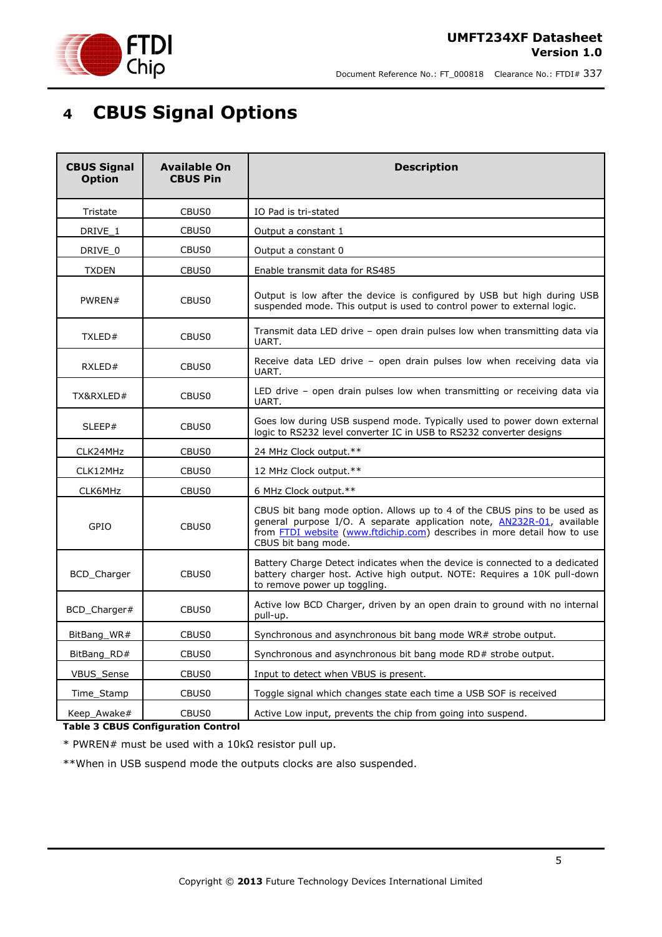



# <span id="page-4-0"></span>**4 CBUS Signal Options**

| <b>CBUS Signal</b><br><b>Available On</b><br><b>Option</b><br><b>CBUS Pin</b> |                   | <b>Description</b>                                                                                                                                                                                                                                           |  |
|-------------------------------------------------------------------------------|-------------------|--------------------------------------------------------------------------------------------------------------------------------------------------------------------------------------------------------------------------------------------------------------|--|
| Tristate                                                                      | CBUS <sub>0</sub> | IO Pad is tri-stated                                                                                                                                                                                                                                         |  |
| DRIVE 1                                                                       | CBUS <sub>0</sub> | Output a constant 1                                                                                                                                                                                                                                          |  |
| DRIVE 0                                                                       | CBUS0             | Output a constant 0                                                                                                                                                                                                                                          |  |
| <b>TXDEN</b>                                                                  | CBUS <sub>0</sub> | Enable transmit data for RS485                                                                                                                                                                                                                               |  |
| PWREN#<br>CBUS <sub>0</sub>                                                   |                   | Output is low after the device is configured by USB but high during USB<br>suspended mode. This output is used to control power to external logic.                                                                                                           |  |
| TXLED#                                                                        | CBUS <sub>0</sub> | Transmit data LED drive - open drain pulses low when transmitting data via<br>UART.                                                                                                                                                                          |  |
| RXLED#                                                                        | CBUS <sub>0</sub> | Receive data LED drive - open drain pulses low when receiving data via<br>UART.                                                                                                                                                                              |  |
| TX&RXLED#<br>CBUS <sub>0</sub>                                                |                   | LED drive – open drain pulses low when transmitting or receiving data via<br>UART.                                                                                                                                                                           |  |
| SLEEP#                                                                        | CBUS <sub>0</sub> | Goes low during USB suspend mode. Typically used to power down external<br>logic to RS232 level converter IC in USB to RS232 converter designs                                                                                                               |  |
| CLK24MHz                                                                      | CBUS <sub>0</sub> | 24 MHz Clock output.**                                                                                                                                                                                                                                       |  |
| CLK12MHz                                                                      | CBUS <sub>0</sub> | 12 MHz Clock output.**                                                                                                                                                                                                                                       |  |
| CLK6MHz                                                                       | CBUS <sub>0</sub> | 6 MHz Clock output.**                                                                                                                                                                                                                                        |  |
| GPIO                                                                          | CBUS <sub>0</sub> | CBUS bit bang mode option. Allows up to 4 of the CBUS pins to be used as<br>general purpose I/O. A separate application note, AN232R-01, available<br>from <b>FTDI</b> website (www.ftdichip.com) describes in more detail how to use<br>CBUS bit bang mode. |  |
| <b>BCD</b> Charger                                                            | CBUS <sub>0</sub> | Battery Charge Detect indicates when the device is connected to a dedicated<br>battery charger host. Active high output. NOTE: Requires a 10K pull-down<br>to remove power up toggling.                                                                      |  |
| BCD_Charger#                                                                  | CBUS <sub>0</sub> | Active low BCD Charger, driven by an open drain to ground with no internal<br>pull-up.                                                                                                                                                                       |  |
| BitBang_WR#                                                                   | CBUS <sub>0</sub> | Synchronous and asynchronous bit bang mode WR# strobe output.                                                                                                                                                                                                |  |
| BitBang RD#                                                                   | CBUS0             | Synchronous and asynchronous bit bang mode RD# strobe output.                                                                                                                                                                                                |  |
| <b>VBUS Sense</b>                                                             | CBUS <sub>0</sub> | Input to detect when VBUS is present.                                                                                                                                                                                                                        |  |
| Time Stamp                                                                    | CBUS <sub>0</sub> | Toggle signal which changes state each time a USB SOF is received                                                                                                                                                                                            |  |
| Keep_Awake#<br>CBUS <sub>0</sub><br>Table 2 CDUC Configuration Control        |                   | Active Low input, prevents the chip from going into suspend.                                                                                                                                                                                                 |  |

### <span id="page-4-1"></span>**Table 3 CBUS Configuration Control**

\* PWREN# must be used with a 10kΩ resistor pull up.

\*\*When in USB suspend mode the outputs clocks are also suspended.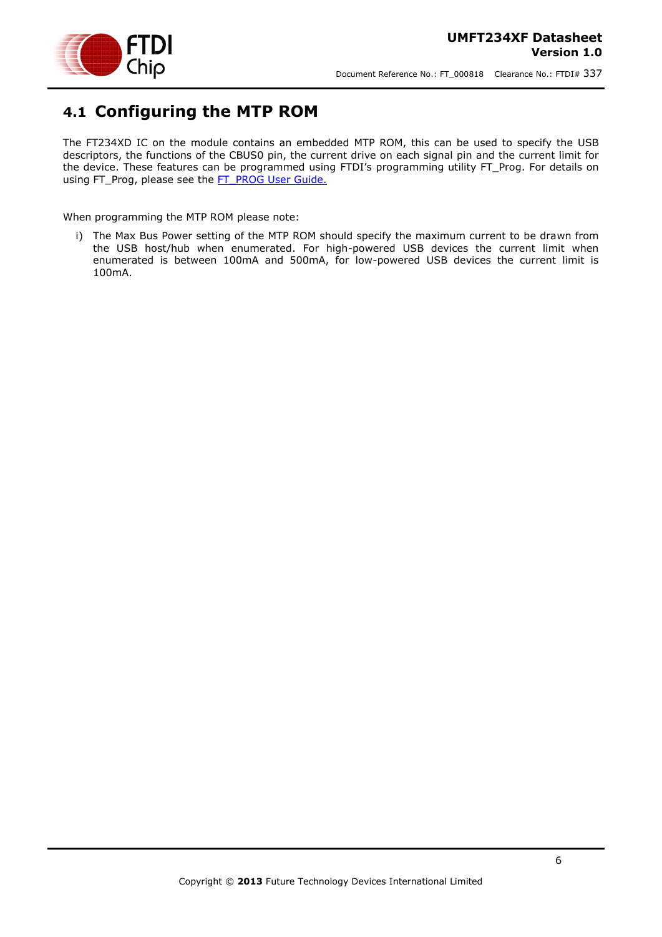

## <span id="page-5-0"></span>**4.1 Configuring the MTP ROM**

The FT234XD IC on the module contains an embedded MTP ROM, this can be used to specify the USB descriptors, the functions of the CBUS0 pin, the current drive on each signal pin and the current limit for the device. These features can be programmed using FTDI's programming utility FT\_Prog. For details on using FT\_Prog, please see the [FT\\_PROG User Guide.](http://www.ftdichip.com/Support/Documents/AppNotes/AN_124_User_Guide_For_FT_PROG.pdf)

When programming the MTP ROM please note:

i) The Max Bus Power setting of the MTP ROM should specify the maximum current to be drawn from the USB host/hub when enumerated. For high-powered USB devices the current limit when enumerated is between 100mA and 500mA, for low-powered USB devices the current limit is 100mA.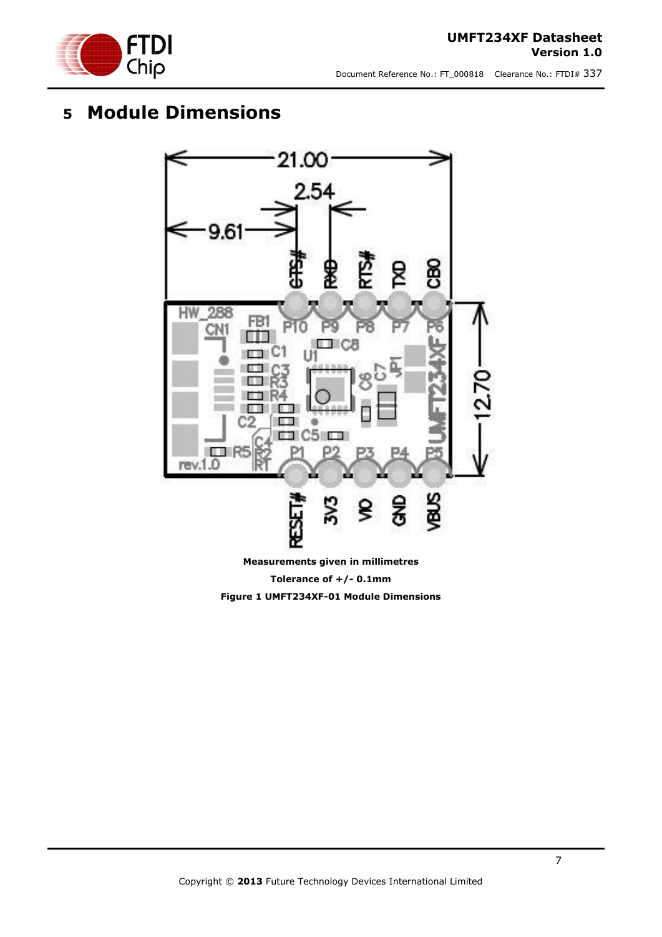

### **UMFT234XF Datasheet Version 1.0**

Document Reference No.: FT\_000818 Clearance No.: FTDI# 337

# <span id="page-6-0"></span>**5 Module Dimensions**



<span id="page-6-1"></span>**Measurements given in millimetres Tolerance of +/- 0.1mm Figure 1 UMFT234XF-01 Module Dimensions**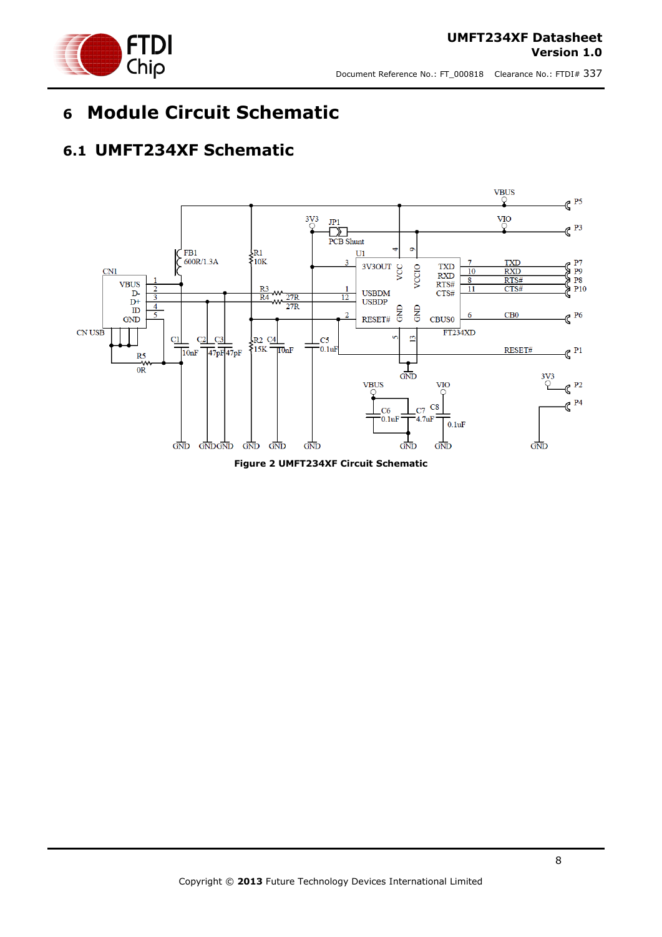

# <span id="page-7-0"></span>**6 Module Circuit Schematic**

## <span id="page-7-1"></span>**6.1 UMFT234XF Schematic**



<span id="page-7-2"></span>**Figure 2 UMFT234XF Circuit Schematic**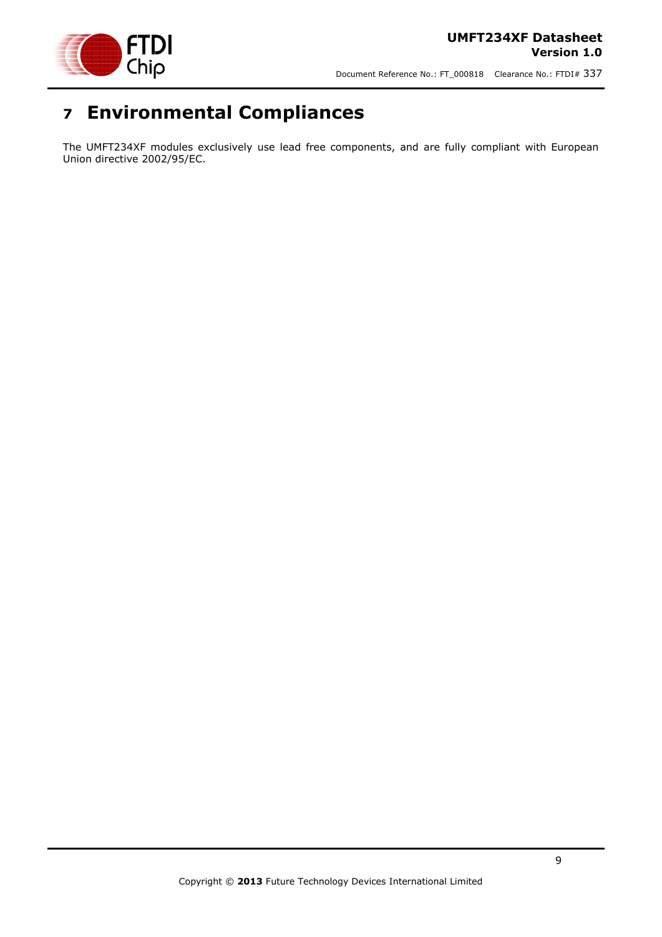

# <span id="page-8-0"></span>**7 Environmental Compliances**

The UMFT234XF modules exclusively use lead free components, and are fully compliant with European Union directive 2002/95/EC.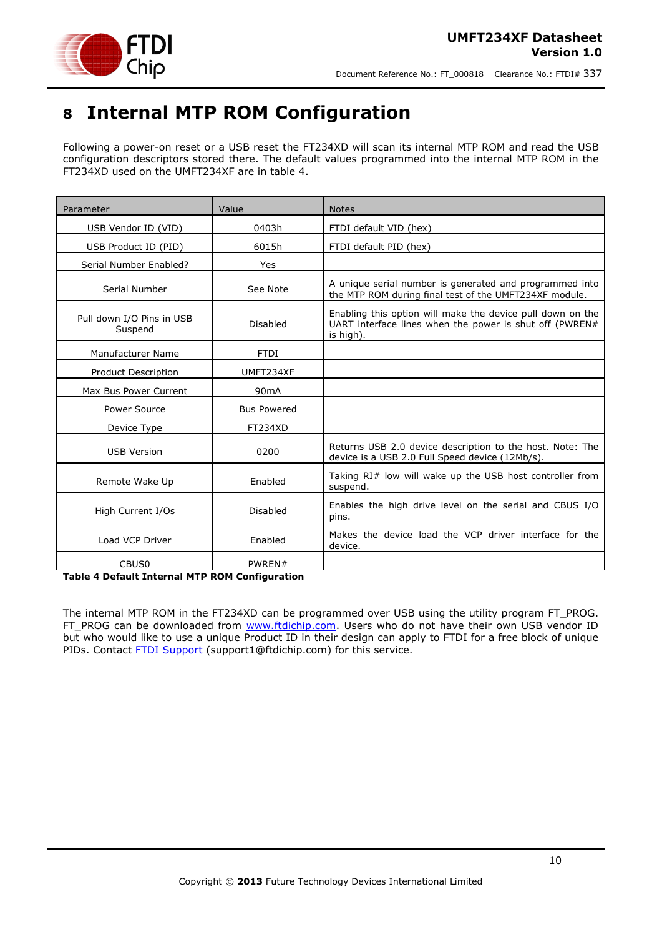

# <span id="page-9-0"></span>**8 Internal MTP ROM Configuration**

Following a power-on reset or a USB reset the FT234XD will scan its internal MTP ROM and read the USB configuration descriptors stored there. The default values programmed into the internal MTP ROM in the FT234XD used on the UMFT234XF are in table 4.

| Parameter                            | Value              | <b>Notes</b>                                                                                                                       |
|--------------------------------------|--------------------|------------------------------------------------------------------------------------------------------------------------------------|
| USB Vendor ID (VID)                  | 0403h              | FTDI default VID (hex)                                                                                                             |
| USB Product ID (PID)                 | 6015h              | FTDI default PID (hex)                                                                                                             |
| Serial Number Enabled?               | Yes                |                                                                                                                                    |
| Serial Number                        | See Note           | A unique serial number is generated and programmed into<br>the MTP ROM during final test of the UMFT234XF module.                  |
| Pull down I/O Pins in USB<br>Suspend | Disabled           | Enabling this option will make the device pull down on the<br>UART interface lines when the power is shut off (PWREN#<br>is high). |
| Manufacturer Name                    | <b>FTDI</b>        |                                                                                                                                    |
| Product Description                  | UMFT234XF          |                                                                                                                                    |
| Max Bus Power Current                | 90 <sub>m</sub> A  |                                                                                                                                    |
| Power Source                         | <b>Bus Powered</b> |                                                                                                                                    |
| Device Type                          | <b>FT234XD</b>     |                                                                                                                                    |
| <b>USB Version</b>                   | 0200               | Returns USB 2.0 device description to the host. Note: The<br>device is a USB 2.0 Full Speed device (12Mb/s).                       |
| Remote Wake Up                       | Enabled            | Taking RI# low will wake up the USB host controller from<br>suspend.                                                               |
| High Current I/Os                    | Disabled           | Enables the high drive level on the serial and CBUS I/O<br>pins.                                                                   |
| Load VCP Driver                      | Enabled            | Makes the device load the VCP driver interface for the<br>device.                                                                  |
| CBUS <sub>0</sub>                    | PWREN#             |                                                                                                                                    |

<span id="page-9-1"></span>**Table 4 Default Internal MTP ROM Configuration**

The internal MTP ROM in the FT234XD can be programmed over USB using the utility program FT\_PROG. FT\_PROG can be downloaded from [www.ftdichip.com.](http://www.ftdichip.com/) Users who do not have their own USB vendor ID but who would like to use a unique Product ID in their design can apply to FTDI for a free block of unique PIDs. Contact **FTDI Support** (support1@ftdichip.com) for this service.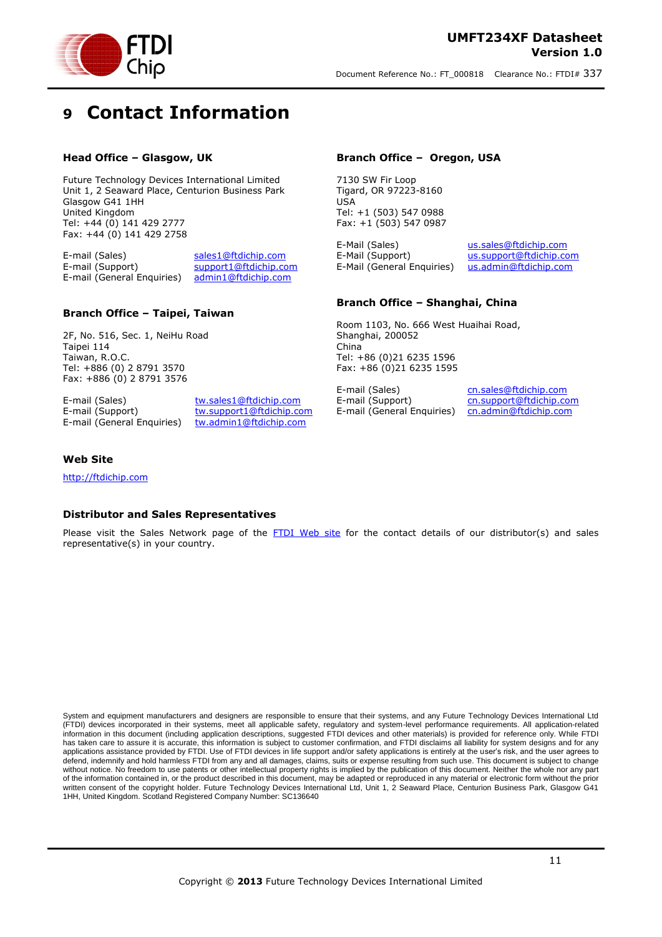



# <span id="page-10-0"></span>**9 Contact Information**

### **Head Office – Glasgow, UK**

Future Technology Devices International Limited Unit 1, 2 Seaward Place, Centurion Business Park Glasgow G41 1HH United Kingdom Tel: +44 (0) 141 429 2777 Fax: +44 (0) 141 429 2758

E-mail (Sales) [sales1@ftdichip.com](mailto:sales1@ftdichip.com) E-mail (Support) [support1@ftdichip.com](mailto:support1@ftdichip.com) E-mail (General Enquiries) [admin1@ftdichip.com](mailto:admin1@ftdichip.com)

### **Branch Office – Taipei, Taiwan**

2F, No. 516, Sec. 1, NeiHu Road Taipei 114 Taiwan, R.O.C. Tel: +886 (0) 2 8791 3570 Fax: +886 (0) 2 8791 3576

E-mail (Sales) [tw.sales1@ftdichip.com](mailto:tw.sales1@ftdichip.com)

E-mail (Support) [tw.support1@ftdichip.com](mailto:tw.support1@ftdichip.com) E-mail (General Enquiries) [tw.admin1@ftdichip.com](mailto:tw.admin1@ftdichip.com)

#### **Branch Office – Oregon, USA**

7130 SW Fir Loop Tigard, OR 97223-8160 USA Tel: +1 (503) 547 0988 Fax: +1 (503) 547 0987

E-Mail (Sales) [us.sales@ftdichip.com](mailto:us.sales@ftdichip.com) E-Mail (Support) [us.support@ftdichip.com](mailto:us.support@ftdichip.com) E-Mail (General Enquiries) [us.admin@ftdichip.com](mailto:us.admin@ftdichip.com)

### **Branch Office – Shanghai, China**

Room 1103, No. 666 West Huaihai Road, Shanghai, 200052 China Tel: +86 (0)21 6235 1596 Fax: +86 (0)21 6235 1595

E-mail (Sales) comes controlled comes E-mail (Support) comes controlled controlled comes E-mail (Support Official Comes E-mail Comes E-mail Comes E-mail Comes E-mail Comes E-mail Comes E-mail Comes E-mail Comes E-mail Come E-mail (General Enquiries) [cn.admin@ftdichip.com](mailto:cn.admin@ftdichip.com)

[cn.support@ftdichip.com](mailto:cn.support@ftdichip.com)

### **Web Site**

[http://ftdichip.com](http://ftdichip.com/)

### **Distributor and Sales Representatives**

Please visit the Sales Network page of the [FTDI Web site](http://ftdichip.com/FTSalesNetwork.htm) for the contact details of our distributor(s) and sales representative(s) in your country.

System and equipment manufacturers and designers are responsible to ensure that their systems, and any Future Technology Devices International Ltd (FTDI) devices incorporated in their systems, meet all applicable safety, regulatory and system-level performance requirements. All application-related information in this document (including application descriptions, suggested FTDI devices and other materials) is provided for reference only. While FTDI has taken care to assure it is accurate, this information is subject to customer confirmation, and FTDI disclaims all liability for system designs and for any applications assistance provided by FTDI. Use of FTDI devices in life support and/or safety applications is entirely at the user's risk, and the user agrees to defend, indemnify and hold harmless FTDI from any and all damages, claims, suits or expense resulting from such use. This document is subject to change without notice. No freedom to use patents or other intellectual property rights is implied by the publication of this document. Neither the whole nor any part of the information contained in, or the product described in this document, may be adapted or reproduced in any material or electronic form without the prior written consent of the copyright holder. Future Technology Devices International Ltd, Unit 1, 2 Seaward Place, Centurion Business Park, Glasgow G41 1HH, United Kingdom. Scotland Registered Company Number: SC136640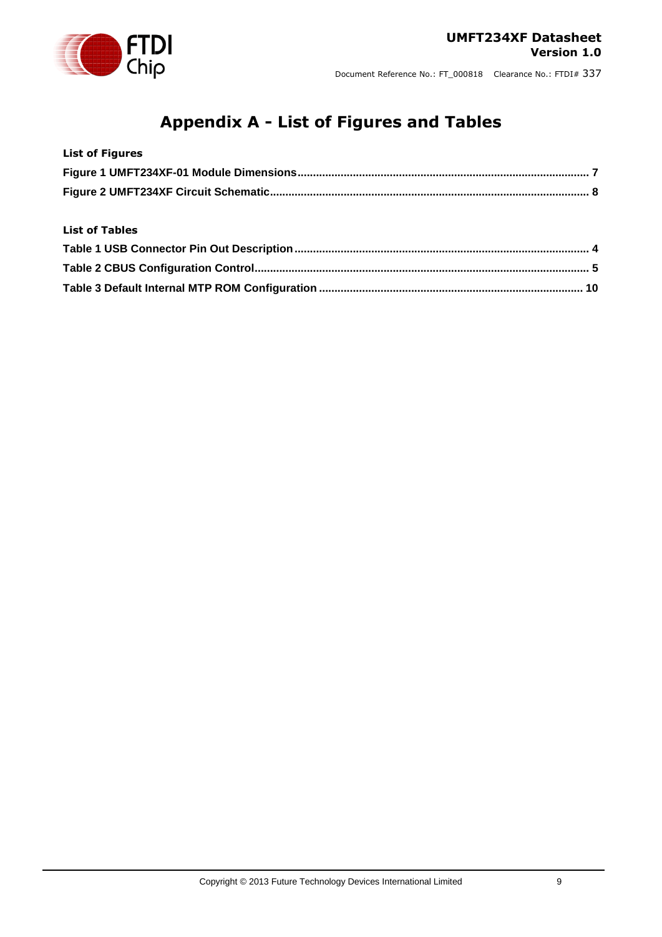# **Appendix A - List of Figures and Tables**

<span id="page-11-0"></span>

| <b>List of Figures</b> |  |
|------------------------|--|
|                        |  |
|                        |  |
|                        |  |
| <b>List of Tables</b>  |  |
|                        |  |
|                        |  |
|                        |  |